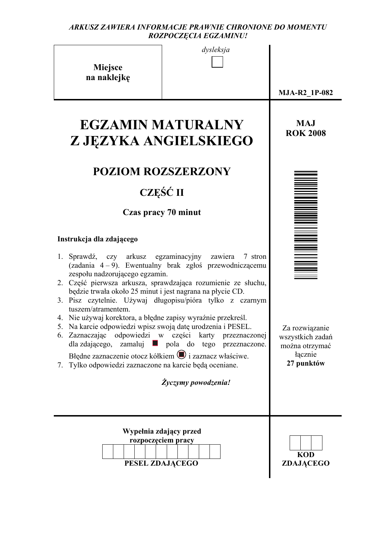#### *ARKUSZ ZAWIERA INFORMACJE PRAWNIE CHRONIONE DO MOMENTU ROZPOCZĘCIA EGZAMINU!*

| dysleksja |  |
|-----------|--|
|           |  |

**Miejsce na naklejkę**

**MJA-R2\_1P-082** 

**MAJ ROK 2008** 

# **EGZAMIN MATURALNY Z JĘZYKA ANGIELSKIEGO**

## **POZIOM ROZSZERZONY**

# **CZĘŚĆ II**

## **Czas pracy 70 minut**

## **Instrukcja dla zdającego**

- 1. Sprawdź, czy arkusz egzaminacyjny zawiera 7 stron (zadania 4 – 9). Ewentualny brak zgłoś przewodniczącemu zespołu nadzorującego egzamin. 2. Część pierwsza arkusza, sprawdzająca rozumienie ze słuchu,
- będzie trwała około 25 minut i jest nagrana na płycie CD.
- 3. Pisz czytelnie. Używaj długopisu/pióra tylko z czarnym tuszem/atramentem.
- 4. Nie używaj korektora, a błędne zapisy wyraźnie przekreśl.
- 5. Na karcie odpowiedzi wpisz swoją datę urodzenia i PESEL.
- 6. Zaznaczając odpowiedzi w części karty przeznaczonej  $d$ la zdającego, zamaluj **pola** do tego przeznaczone. Błędne zaznaczenie otocz kółkiem  $\bigcirc$  i zaznacz właściwe.
- 7. Tylko odpowiedzi zaznaczone na karcie będą oceniane.

*Życzymy powodzenia!*

| Wypełnia zdający przed<br>rozpoczęciem pracy |                                |
|----------------------------------------------|--------------------------------|
| PESEL ZDAJĄCEGO                              | <b>KOD</b><br><b>ZDAJĄCEGO</b> |

| Ï |  |
|---|--|
|   |  |
|   |  |
|   |  |
|   |  |
|   |  |
|   |  |
|   |  |
|   |  |
|   |  |
|   |  |
|   |  |
|   |  |
|   |  |
|   |  |
|   |  |
|   |  |
|   |  |
|   |  |
|   |  |
|   |  |
|   |  |
|   |  |
|   |  |
|   |  |
|   |  |

Za rozwiązanie wszystkich zadań można otrzymać łącznie **27 punktów**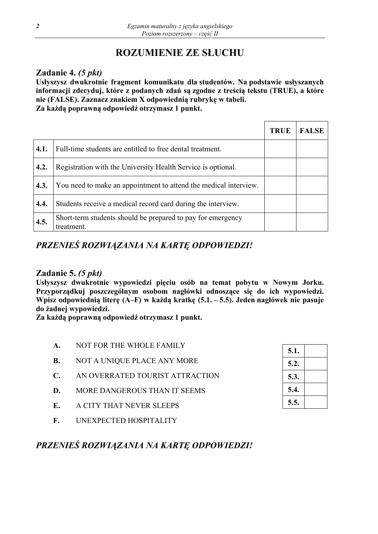## **ROZUMIENIE ZE SŁUCHU**

## **Zadanie 4.** *(5 pkt)*

**Usłyszysz dwukrotnie fragment komunikatu dla studentów. Na podstawie usłyszanych informacji zdecyduj, które z podanych zdań są zgodne z treścią tekstu (TRUE), a które nie (FALSE). Zaznacz znakiem X odpowiednią rubrykę w tabeli. Za każdą poprawną odpowiedź otrzymasz 1 punkt.** 

|      |                                                                           | <b>TRUE</b> | <b>FALSE</b> |
|------|---------------------------------------------------------------------------|-------------|--------------|
| 4.1. | Full-time students are entitled to free dental treatment.                 |             |              |
| 4.2. | Registration with the University Health Service is optional.              |             |              |
| 4.3. | You need to make an appointment to attend the medical interview.          |             |              |
| 4.4. | Students receive a medical record card during the interview.              |             |              |
| 4.5. | Short-term students should be prepared to pay for emergency<br>treatment. |             |              |

## *PRZENIEŚ ROZWIĄZANIA NA KARTĘ ODPOWIEDZI!*

## **Zadanie 5.** *(5 pkt)*

**Usłyszysz dwukrotnie wypowiedzi pięciu osób na temat pobytu w Nowym Jorku. Przyporządkuj poszczególnym osobom nagłówki odnoszące się do ich wypowiedzi. Wpisz odpowiednią literę (A–F) w każdą kratkę (5.1. – 5.5). Jeden nagłówek nie pasuje do żadnej wypowiedzi.** 

**Za każdą poprawną odpowiedź otrzymasz 1 punkt.**

- **A.** NOT FOR THE WHOLE FAMILY
- **B.** NOT A UNIQUE PLACE ANY MORE
- **C.** AN OVERRATED TOURIST ATTRACTION
- **D.** MORE DANGEROUS THAN IT SEEMS
- **E.** A CITY THAT NEVER SLEEPS
- **F.** UNEXPECTED HOSPITALITY

| 5.1. |  |
|------|--|
| 5.2. |  |
| 5.3. |  |
| 5.4. |  |
| 5.5. |  |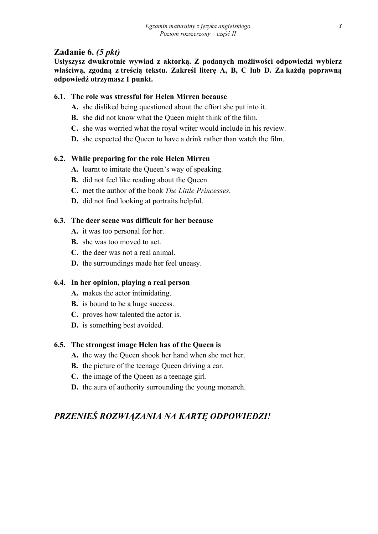## **Zadanie 6.** *(5 pkt)*

**Usłyszysz dwukrotnie wywiad z aktorką. Z podanych możliwości odpowiedzi wybierz**  właściwą, zgodną z treścią tekstu. Zakreśl literę A, B, C lub D. Za każdą poprawną **odpowiedź otrzymasz 1 punkt.** 

## **6.1. The role was stressful for Helen Mirren because**

- **A.** she disliked being questioned about the effort she put into it.
- **B.** she did not know what the Queen might think of the film.
- **C.** she was worried what the royal writer would include in his review.
- **D.** she expected the Queen to have a drink rather than watch the film.

## **6.2. While preparing for the role Helen Mirren**

- **A.** learnt to imitate the Queen's way of speaking.
- **B.** did not feel like reading about the Queen.
- **C.** met the author of the book *The Little Princesses*.
- **D.** did not find looking at portraits helpful.

## **6.3. The deer scene was difficult for her because**

- **A.** it was too personal for her.
- **B.** she was too moved to act.
- **C.** the deer was not a real animal.
- **D.** the surroundings made her feel uneasy.

## **6.4. In her opinion, playing a real person**

- **A.** makes the actor intimidating.
- **B.** is bound to be a huge success.
- **C.** proves how talented the actor is.
- **D.** is something best avoided.

#### **6.5. The strongest image Helen has of the Queen is**

- **A.** the way the Queen shook her hand when she met her.
- **B.** the picture of the teenage Queen driving a car.
- **C.** the image of the Queen as a teenage girl.
- **D.** the aura of authority surrounding the young monarch.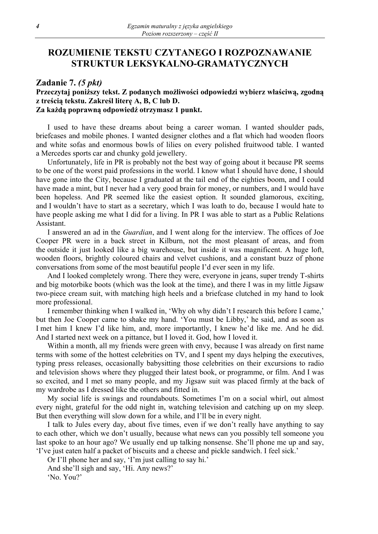## **ROZUMIENIE TEKSTU CZYTANEGO I ROZPOZNAWANIE STRUKTUR LEKSYKALNO-GRAMATYCZNYCH**

#### **Zadanie 7.** *(5 pkt)*

#### **Przeczytaj poniższy tekst. Z podanych możliwości odpowiedzi wybierz właściwą, zgodną z treścią tekstu. Zakreśl literę A, B, C lub D. Za każdą poprawną odpowiedź otrzymasz 1 punkt.**

I used to have these dreams about being a career woman. I wanted shoulder pads, briefcases and mobile phones. I wanted designer clothes and a flat which had wooden floors and white sofas and enormous bowls of lilies on every polished fruitwood table. I wanted a Mercedes sports car and chunky gold jewellery.

Unfortunately, life in PR is probably not the best way of going about it because PR seems to be one of the worst paid professions in the world. I know what I should have done, I should have gone into the City, because I graduated at the tail end of the eighties boom, and I could have made a mint, but I never had a very good brain for money, or numbers, and I would have been hopeless. And PR seemed like the easiest option. It sounded glamorous, exciting, and I wouldn't have to start as a secretary, which I was loath to do, because I would hate to have people asking me what I did for a living. In PR I was able to start as a Public Relations Assistant.

I answered an ad in the *Guardian*, and I went along for the interview. The offices of Joe Cooper PR were in a back street in Kilburn, not the most pleasant of areas, and from the outside it just looked like a big warehouse, but inside it was magnificent. A huge loft, wooden floors, brightly coloured chairs and velvet cushions, and a constant buzz of phone conversations from some of the most beautiful people I'd ever seen in my life.

And I looked completely wrong. There they were, everyone in jeans, super trendy T-shirts and big motorbike boots (which was the look at the time), and there I was in my little Jigsaw two-piece cream suit, with matching high heels and a briefcase clutched in my hand to look more professional.

I remember thinking when I walked in, 'Why oh why didn't I research this before I came,' but then Joe Cooper came to shake my hand. 'You must be Libby,' he said, and as soon as I met him I knew I'd like him, and, more importantly, I knew he'd like me. And he did. And I started next week on a pittance, but I loved it. God, how I loved it.

Within a month, all my friends were green with envy, because I was already on first name terms with some of the hottest celebrities on TV, and I spent my days helping the executives, typing press releases, occasionally babysitting those celebrities on their excursions to radio and television shows where they plugged their latest book, or programme, or film. And I was so excited, and I met so many people, and my Jigsaw suit was placed firmly at the back of my wardrobe as I dressed like the others and fitted in.

My social life is swings and roundabouts. Sometimes I'm on a social whirl, out almost every night, grateful for the odd night in, watching television and catching up on my sleep. But then everything will slow down for a while, and I'll be in every night.

I talk to Jules every day, about five times, even if we don't really have anything to say to each other, which we don't usually, because what news can you possibly tell someone you last spoke to an hour ago? We usually end up talking nonsense. She'll phone me up and say, 'I've just eaten half a packet of biscuits and a cheese and pickle sandwich. I feel sick.'

Or I'll phone her and say, 'I'm just calling to say hi.'

And she'll sigh and say, 'Hi. Any news?'

'No. You?'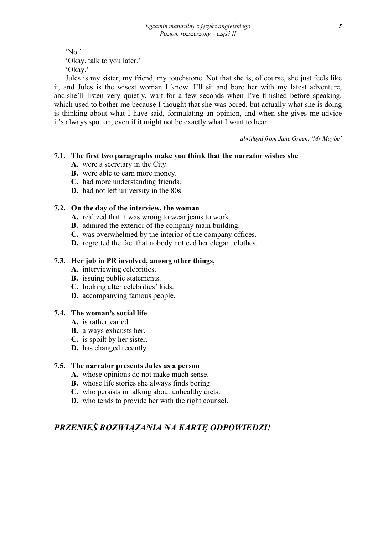'No.'

'Okay, talk to you later.'

'Okay.'

Jules is my sister, my friend, my touchstone. Not that she is, of course, she just feels like it, and Jules is the wisest woman I know. I'll sit and bore her with my latest adventure, and she'll listen very quietly, wait for a few seconds when I've finished before speaking, which used to bother me because I thought that she was bored, but actually what she is doing is thinking about what I have said, formulating an opinion, and when she gives me advice it's always spot on, even if it might not be exactly what I want to hear.

*abridged from Jane Green, 'Mr Maybe'* 

## **7.1. The first two paragraphs make you think that the narrator wishes she**

- **A.** were a secretary in the City.
- **B.** were able to earn more money.
- **C.** had more understanding friends.
- **D.** had not left university in the 80s.

## **7.2. On the day of the interview, the woman**

- **A.** realized that it was wrong to wear jeans to work.
- **B.** admired the exterior of the company main building.
- **C.** was overwhelmed by the interior of the company offices.
- **D.** regretted the fact that nobody noticed her elegant clothes.

#### **7.3. Her job in PR involved, among other things,**

- **A.** interviewing celebrities.
- **B.** issuing public statements.
- **C.** looking after celebrities' kids.
- **D.** accompanying famous people.

#### **7.4. The woman's social life**

- **A.** is rather varied.
- **B.** always exhausts her.
- **C.** is spoilt by her sister.
- **D.** has changed recently.

#### **7.5. The narrator presents Jules as a person**

- **A.** whose opinions do not make much sense.
- **B.** whose life stories she always finds boring.
- **C.** who persists in talking about unhealthy diets.
- **D.** who tends to provide her with the right counsel.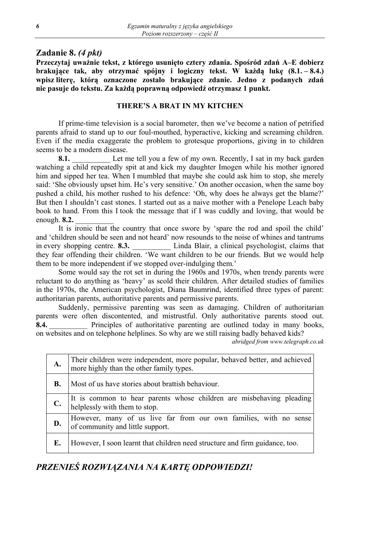## **Zadanie 8.** *(4 pkt)*

**Przeczytaj uważnie tekst, z którego usunięto cztery zdania. Spośród zdań A–E dobierz brakujące tak, aby otrzymać spójny i logiczny tekst. W każdą lukę (8.1. – 8.4.) wpisz literę, którą oznaczone zostało brakujące zdanie. Jedno z podanych zdań nie pasuje do tekstu. Za każdą poprawną odpowiedź otrzymasz 1 punkt.** 

#### **THERE'S A BRAT IN MY KITCHEN**

If prime-time television is a social barometer, then we've become a nation of petrified parents afraid to stand up to our foul-mouthed, hyperactive, kicking and screaming children. Even if the media exaggerate the problem to grotesque proportions, giving in to children seems to be a modern disease.

**8.1.** Let me tell you a few of my own. Recently, I sat in my back garden watching a child repeatedly spit at and kick my daughter Imogen while his mother ignored him and sipped her tea. When I mumbled that maybe she could ask him to stop, she merely said: 'She obviously upset him. He's very sensitive.' On another occasion, when the same boy pushed a child, his mother rushed to his defence: 'Oh, why does he always get the blame?' But then I shouldn't cast stones. I started out as a naive mother with a Penelope Leach baby book to hand. From this I took the message that if I was cuddly and loving, that would be enough. **8.2.** \_\_\_\_\_\_\_\_\_\_

It is ironic that the country that once swore by 'spare the rod and spoil the child' and 'children should be seen and not heard' now resounds to the noise of whines and tantrums in every shopping centre. **8.3.** Linda Blair, a clinical psychologist, claims that they fear offending their children. 'We want children to be our friends. But we would help them to be more independent if we stopped over-indulging them.'

Some would say the rot set in during the 1960s and 1970s, when trendy parents were reluctant to do anything as 'heavy' as scold their children. After detailed studies of families in the 1970s, the American psychologist, Diana Baumrind, identified three types of parent: authoritarian parents, authoritative parents and permissive parents.

Suddenly, permissive parenting was seen as damaging. Children of authoritarian parents were often discontented, and mistrustful. Only authoritative parents stood out. **8.4.** Principles of authoritative parenting are outlined today in many books, on websites and on telephone helplines. So why are we still raising badly behaved kids?

*abridged from www.telegraph.co.uk* 

| A.        | Their children were independent, more popular, behaved better, and achieved<br>more highly than the other family types. |
|-----------|-------------------------------------------------------------------------------------------------------------------------|
| <b>B.</b> | Most of us have stories about brattish behaviour.                                                                       |
| C.        | It is common to hear parents whose children are misbehaving pleading<br>helplessly with them to stop.                   |
| D.        | However, many of us live far from our own families, with no sense<br>of community and little support.                   |
| E.        | However, I soon learnt that children need structure and firm guidance, too.                                             |